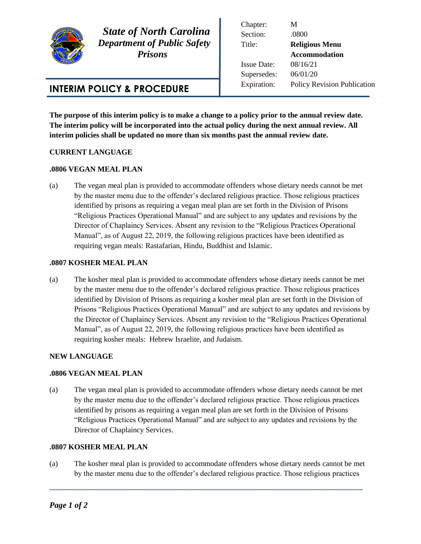

l

 *State of North Carolina Department of Public Safety Prisons* 

# **INTERIM POLICY & PROCEDURE**

Chapter: M Section: .0800 Title: **Religious Menu Accommodation** Issue Date: 08/16/21 Supersedes: 06/01/20 Expiration: Policy Revision Publication

**The purpose of this interim policy is to make a change to a policy prior to the annual review date. The interim policy will be incorporated into the actual policy during the next annual review. All interim policies shall be updated no more than six months past the annual review date.** 

## **CURRENT LANGUAGE**

### **.0806 VEGAN MEAL PLAN**

(a) The vegan meal plan is provided to accommodate offenders whose dietary needs cannot be met by the master menu due to the offender's declared religious practice. Those religious practices identified by prisons as requiring a vegan meal plan are set forth in the Division of Prisons "Religious Practices Operational Manual" and are subject to any updates and revisions by the Director of Chaplaincy Services. Absent any revision to the "Religious Practices Operational Manual", as of August 22, 2019, the following religious practices have been identified as requiring vegan meals: Rastafarian, Hindu, Buddhist and Islamic.

### **.0807 KOSHER MEAL PLAN**

(a) The kosher meal plan is provided to accommodate offenders whose dietary needs cannot be met by the master menu due to the offender's declared religious practice. Those religious practices identified by Division of Prisons as requiring a kosher meal plan are set forth in the Division of Prisons "Religious Practices Operational Manual" and are subject to any updates and revisions by the Director of Chaplaincy Services. Absent any revision to the "Religious Practices Operational Manual", as of August 22, 2019, the following religious practices have been identified as requiring kosher meals: Hebrew Israelite, and Judaism.

### **NEW LANGUAGE**

### **.0806 VEGAN MEAL PLAN**

(a) The vegan meal plan is provided to accommodate offenders whose dietary needs cannot be met by the master menu due to the offender's declared religious practice. Those religious practices identified by prisons as requiring a vegan meal plan are set forth in the Division of Prisons "Religious Practices Operational Manual" and are subject to any updates and revisions by the Director of Chaplaincy Services.

## **.0807 KOSHER MEAL PLAN**

(a) The kosher meal plan is provided to accommodate offenders whose dietary needs cannot be met by the master menu due to the offender's declared religious practice. Those religious practices

**\_\_\_\_\_\_\_\_\_\_\_\_\_\_\_\_\_\_\_\_\_\_\_\_\_\_\_\_\_\_\_\_\_\_\_\_\_\_\_\_\_\_\_\_\_\_\_\_\_\_\_\_\_\_\_\_\_\_\_\_\_\_\_\_\_\_\_\_\_\_\_\_\_\_\_\_**